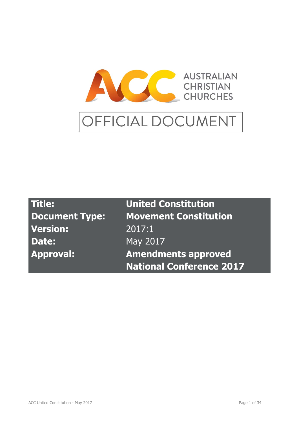

| <b>Title:</b>         | <b>United Constitution</b>      |
|-----------------------|---------------------------------|
| <b>Document Type:</b> | <b>Movement Constitution</b>    |
| <b>Version:</b>       | 2017:1                          |
| Date:                 | May 2017                        |
| <b>Approval:</b>      | <b>Amendments approved</b>      |
|                       | <b>National Conference 2017</b> |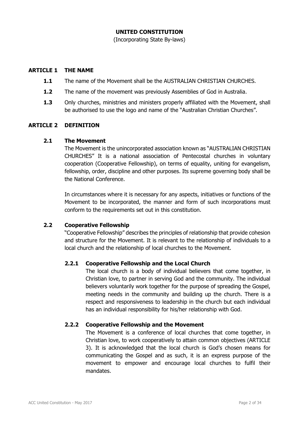### **UNITED CONSTITUTION**

(Incorporating State By-laws)

#### **ARTICLE 1 THE NAME**

- **1.1** The name of the Movement shall be the AUSTRALIAN CHRISTIAN CHURCHES.
- **1.2** The name of the movement was previously Assemblies of God in Australia.
- **1.3** Only churches, ministries and ministers properly affiliated with the Movement, shall be authorised to use the logo and name of the "Australian Christian Churches".

#### **ARTICLE 2 DEFINITION**

#### **2.1 The Movement**

 The Movement is the unincorporated association known as "AUSTRALIAN CHRISTIAN CHURCHES" It is a national association of Pentecostal churches in voluntary cooperation (Cooperative Fellowship), on terms of equality, uniting for evangelism, fellowship, order, discipline and other purposes. Its supreme governing body shall be the National Conference.

In circumstances where it is necessary for any aspects, initiatives or functions of the Movement to be incorporated, the manner and form of such incorporations must conform to the requirements set out in this constitution.

### **2.2 Cooperative Fellowship**

 "Cooperative Fellowship" describes the principles of relationship that provide cohesion and structure for the Movement. It is relevant to the relationship of individuals to a local church and the relationship of local churches to the Movement.

### **2.2.1 Cooperative Fellowship and the Local Church**

 The local church is a body of individual believers that come together, in Christian love, to partner in serving God and the community. The individual believers voluntarily work together for the purpose of spreading the Gospel, meeting needs in the community and building up the church. There is a respect and responsiveness to leadership in the church but each individual has an individual responsibility for his/her relationship with God.

### **2.2.2 Cooperative Fellowship and the Movement**

 The Movement is a conference of local churches that come together, in Christian love, to work cooperatively to attain common objectives (ARTICLE 3). It is acknowledged that the local church is God's chosen means for communicating the Gospel and as such, it is an express purpose of the movement to empower and encourage local churches to fulfil their mandates.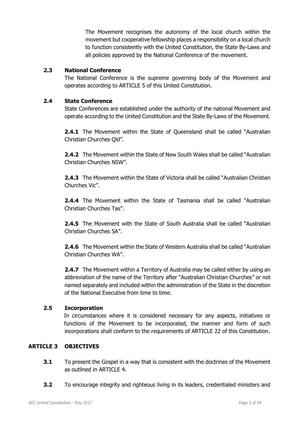The Movement recognises the autonomy of the local church within the movement but cooperative fellowship places a responsibility on a local church to function consistently with the United Constitution, the State By-Laws and all policies approved by the National Conference of the movement.

### **2.3 National Conference**

 The National Conference is the supreme governing body of the Movement and operates according to ARTICLE 5 of this United Constitution.

### **2.4 State Conference**

State Conferences are established under the authority of the national Movement and operate according to the United Constitution and the State By-Laws of the Movement.

**2.4.1** The Movement within the State of Queensland shall be called "Australian Christian Churches Qld".

**2.4.2** The Movement within the State of New South Wales shall be called "Australian Christian Churches NSW".

**2.4.3** The Movement within the State of Victoria shall be called "Australian Christian Churches Vic".

**2.4.4** The Movement within the State of Tasmania shall be called "Australian Christian Churches Tas".

**2.4.5** The Movement with the State of South Australia shall be called "Australian Christian Churches SA".

**2.4.6** The Movement within the State of Western Australia shall be called "Australian Christian Churches WA".

**2.4.7** The Movement within a Territory of Australia may be called either by using an abbreviation of the name of the Territory after "Australian Christian Churches" or not named separately and included within the administration of the State in the discretion of the National Executive from time to time.

# **2.5 Incorporation**

In circumstances where it is considered necessary for any aspects, initiatives or functions of the Movement to be incorporated, the manner and form of such incorporations shall conform to the requirements of ARTICLE 22 of this Constitution.

# **ARTICLE 3 OBJECTIVES**

- **3.1** To present the Gospel in a way that is consistent with the doctrines of the Movement as outlined in ARTICLE 4.
- **3.2** To encourage integrity and righteous living in its leaders, credentialed ministers and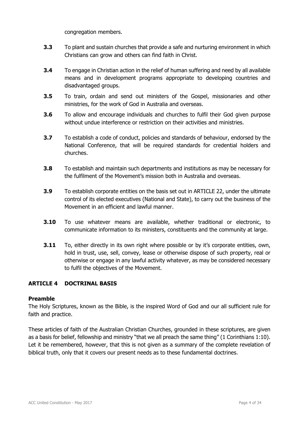congregation members.

- **3.3** To plant and sustain churches that provide a safe and nurturing environment in which Christians can grow and others can find faith in Christ.
- **3.4** To engage in Christian action in the relief of human suffering and need by all available means and in development programs appropriate to developing countries and disadvantaged groups.
- **3.5** To train, ordain and send out ministers of the Gospel, missionaries and other ministries, for the work of God in Australia and overseas.
- **3.6** To allow and encourage individuals and churches to fulfil their God given purpose without undue interference or restriction on their activities and ministries.
- **3.7** To establish a code of conduct, policies and standards of behaviour, endorsed by the National Conference, that will be required standards for credential holders and churches.
- **3.8** To establish and maintain such departments and institutions as may be necessary for the fulfilment of the Movement's mission both in Australia and overseas.
- **3.9** To establish corporate entities on the basis set out in ARTICLE 22, under the ultimate control of its elected executives (National and State), to carry out the business of the Movement in an efficient and lawful manner.
- **3.10** To use whatever means are available, whether traditional or electronic, to communicate information to its ministers, constituents and the community at large.
- **3.11** To, either directly in its own right where possible or by it's corporate entities, own, hold in trust, use, sell, convey, lease or otherwise dispose of such property, real or otherwise or engage in any lawful activity whatever, as may be considered necessary to fulfil the objectives of the Movement.

# **ARTICLE 4 DOCTRINAL BASIS**

### **Preamble**

The Holy Scriptures, known as the Bible, is the inspired Word of God and our all sufficient rule for faith and practice.

These articles of faith of the Australian Christian Churches, grounded in these scriptures, are given as a basis for belief, fellowship and ministry "that we all preach the same thing" (1 Corinthians 1:10). Let it be remembered, however, that this is not given as a summary of the complete revelation of biblical truth, only that it covers our present needs as to these fundamental doctrines.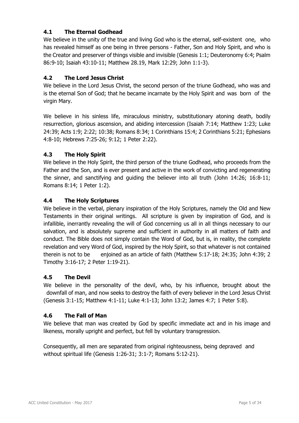# **4.1 The Eternal Godhead**

We believe in the unity of the true and living God who is the eternal, self-existent one, who has revealed himself as one being in three persons - Father, Son and Holy Spirit, and who is the Creator and preserver of things visible and invisible (Genesis 1:1; Deuteronomy 6:4; Psalm 86:9-10; Isaiah 43:10-11; Matthew 28.19, Mark 12:29; John 1:1-3).

# **4.2 The Lord Jesus Christ**

We believe in the Lord Jesus Christ, the second person of the triune Godhead, who was and is the eternal Son of God; that he became incarnate by the Holy Spirit and was born of the virgin Mary.

We believe in his sinless life, miraculous ministry, substitutionary atoning death, bodily resurrection, glorious ascension, and abiding intercession (Isaiah 7:14; Matthew 1:23; Luke 24:39; Acts 1:9; 2:22; 10:38; Romans 8:34; 1 Corinthians 15:4; 2 Corinthians 5:21; Ephesians 4:8-10; Hebrews 7:25-26; 9:12; 1 Peter 2:22).

# **4.3 The Holy Spirit**

We believe in the Holy Spirit, the third person of the triune Godhead, who proceeds from the Father and the Son, and is ever present and active in the work of convicting and regenerating the sinner, and sanctifying and guiding the believer into all truth (John 14:26; 16:8-11; Romans 8:14; 1 Peter 1:2).

# **4.4 The Holy Scriptures**

We believe in the verbal, plenary inspiration of the Holy Scriptures, namely the Old and New Testaments in their original writings. All scripture is given by inspiration of God, and is infallible, inerrantly revealing the will of God concerning us all in all things necessary to our salvation, and is absolutely supreme and sufficient in authority in all matters of faith and conduct. The Bible does not simply contain the Word of God, but is, in reality, the complete revelation and very Word of God, inspired by the Holy Spirit, so that whatever is not contained therein is not to be enjoined as an article of faith (Matthew 5:17-18; 24:35; John 4:39; 2 Timothy 3:16-17; 2 Peter 1:19-21).

# **4.5 The Devil**

We believe in the personality of the devil, who, by his influence, brought about the downfall of man, and now seeks to destroy the faith of every believer in the Lord Jesus Christ (Genesis 3:1-15; Matthew 4:1-11; Luke 4:1-13; John 13:2; James 4:7; 1 Peter 5:8).

# **4.6 The Fall of Man**

We believe that man was created by God by specific immediate act and in his image and likeness, morally upright and perfect, but fell by voluntary transgression.

Consequently, all men are separated from original righteousness, being depraved and without spiritual life (Genesis 1:26-31; 3:1-7; Romans 5:12-21).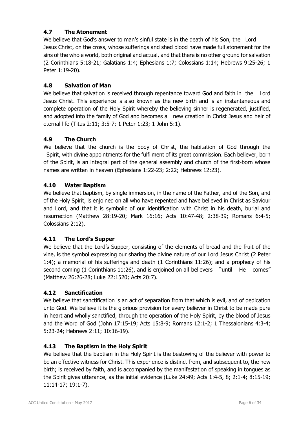# **4.7 The Atonement**

We believe that God's answer to man's sinful state is in the death of his Son, the Lord Jesus Christ, on the cross, whose sufferings and shed blood have made full atonement for the sins of the whole world, both original and actual, and that there is no other ground for salvation (2 Corinthians 5:18-21; Galatians 1:4; Ephesians 1:7; Colossians 1:14; Hebrews 9:25-26; 1 Peter 1:19-20).

# **4.8 Salvation of Man**

We believe that salvation is received through repentance toward God and faith in the Lord Jesus Christ. This experience is also known as the new birth and is an instantaneous and complete operation of the Holy Spirit whereby the believing sinner is regenerated, justified, and adopted into the family of God and becomes a new creation in Christ Jesus and heir of eternal life (Titus 2:11; 3:5-7; 1 Peter 1:23; 1 John 5:1).

# **4.9 The Church**

We believe that the church is the body of Christ, the habitation of God through the Spirit, with divine appointments for the fulfilment of its great commission. Each believer, born of the Spirit, is an integral part of the general assembly and church of the first-born whose names are written in heaven (Ephesians 1:22-23; 2:22; Hebrews 12:23).

# **4.10 Water Baptism**

We believe that baptism, by single immersion, in the name of the Father, and of the Son, and of the Holy Spirit, is enjoined on all who have repented and have believed in Christ as Saviour and Lord, and that it is symbolic of our identification with Christ in his death, burial and resurrection (Matthew 28:19-20; Mark 16:16; Acts 10:47-48; 2:38-39; Romans 6:4-5; Colossians 2:12).

# **4.11 The Lord's Supper**

We believe that the Lord's Supper, consisting of the elements of bread and the fruit of the vine, is the symbol expressing our sharing the divine nature of our Lord Jesus Christ (2 Peter 1:4); a memorial of his sufferings and death (1 Corinthians 11:26); and a prophecy of his second coming (1 Corinthians 11:26), and is enjoined on all believers "until He comes" (Matthew 26:26-28; Luke 22:1520; Acts 20:7).

# **4.12 Sanctification**

We believe that sanctification is an act of separation from that which is evil, and of dedication unto God. We believe it is the glorious provision for every believer in Christ to be made pure in heart and wholly sanctified, through the operation of the Holy Spirit, by the blood of Jesus and the Word of God (John 17:15-19; Acts 15:8-9; Romans 12:1-2; 1 Thessalonians 4:3-4; 5:23-24; Hebrews 2:11; 10:16-19).

# **4.13 The Baptism in the Holy Spirit**

We believe that the baptism in the Holy Spirit is the bestowing of the believer with power to be an effective witness for Christ. This experience is distinct from, and subsequent to, the new birth; is received by faith, and is accompanied by the manifestation of speaking in tongues as the Spirit gives utterance, as the initial evidence (Luke 24:49; Acts 1:4-5, 8; 2:1-4; 8:15-19; 11:14-17; 19:1-7).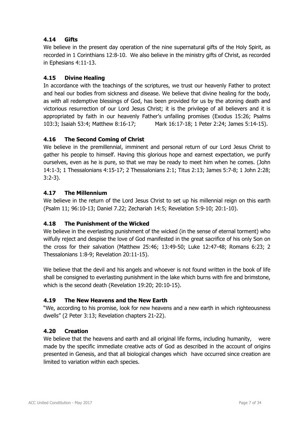# **4.14 Gifts**

We believe in the present day operation of the nine supernatural gifts of the Holy Spirit, as recorded in 1 Corinthians 12:8-10. We also believe in the ministry gifts of Christ, as recorded in Ephesians 4:11-13.

# **4.15 Divine Healing**

In accordance with the teachings of the scriptures, we trust our heavenly Father to protect and heal our bodies from sickness and disease. We believe that divine healing for the body, as with all redemptive blessings of God, has been provided for us by the atoning death and victorious resurrection of our Lord Jesus Christ; it is the privilege of all believers and it is appropriated by faith in our heavenly Father's unfailing promises (Exodus 15:26; Psalms 103:3; Isaiah 53:4; Matthew 8:16-17; Mark 16:17-18; 1 Peter 2:24; James 5:14-15).

# **4.16 The Second Coming of Christ**

We believe in the premillennial, imminent and personal return of our Lord Jesus Christ to gather his people to himself. Having this glorious hope and earnest expectation, we purify ourselves, even as he is pure, so that we may be ready to meet him when he comes. (John 14:1-3; 1 Thessalonians 4:15-17; 2 Thessalonians 2:1; Titus 2:13; James 5:7-8; 1 John 2:28; 3:2-3).

### **4.17 The Millennium**

We believe in the return of the Lord Jesus Christ to set up his millennial reign on this earth (Psalm 11; 96:10-13; Daniel 7.22; Zechariah 14:5; Revelation 5:9-10; 20:1-10).

# **4.18 The Punishment of the Wicked**

We believe in the everlasting punishment of the wicked (in the sense of eternal torment) who wilfully reject and despise the love of God manifested in the great sacrifice of his only Son on the cross for their salvation (Matthew 25:46; 13:49-50; Luke 12:47-48; Romans 6:23; 2 Thessalonians 1:8-9; Revelation 20:11-15).

We believe that the devil and his angels and whoever is not found written in the book of life shall be consigned to everlasting punishment in the lake which burns with fire and brimstone, which is the second death (Revelation 19:20; 20:10-15).

### **4.19 The New Heavens and the New Earth**

"We, according to his promise, look for new heavens and a new earth in which righteousness dwells" (2 Peter 3:13; Revelation chapters 21-22).

### **4.20 Creation**

We believe that the heavens and earth and all original life forms, including humanity, were made by the specific immediate creative acts of God as described in the account of origins presented in Genesis, and that all biological changes which have occurred since creation are limited to variation within each species.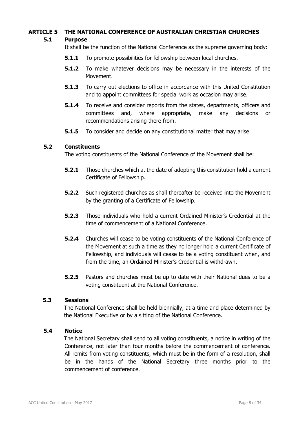# **ARTICLE 5 THE NATIONAL CONFERENCE OF AUSTRALIAN CHRISTIAN CHURCHES**

# **5.1 Purpose**

It shall be the function of the National Conference as the supreme governing body:

- **5.1.1** To promote possibilities for fellowship between local churches.
- **5.1.2** To make whatever decisions may be necessary in the interests of the Movement.
- **5.1.3** To carry out elections to office in accordance with this United Constitution and to appoint committees for special work as occasion may arise.
- **5.1.4** To receive and consider reports from the states, departments, officers and committees and, where appropriate, make any decisions or recommendations arising there from.
- **5.1.5** To consider and decide on any constitutional matter that may arise.

### **5.2 Constituents**

The voting constituents of the National Conference of the Movement shall be:

- **5.2.1** Those churches which at the date of adopting this constitution hold a current Certificate of Fellowship.
- **5.2.2** Such registered churches as shall thereafter be received into the Movement by the granting of a Certificate of Fellowship.
- **5.2.3** Those individuals who hold a current Ordained Minister's Credential at the time of commencement of a National Conference.
- **5.2.4** Churches will cease to be voting constituents of the National Conference of the Movement at such a time as they no longer hold a current Certificate of Fellowship, and individuals will cease to be a voting constituent when, and from the time, an Ordained Minister's Credential is withdrawn.
- **5.2.5** Pastors and churches must be up to date with their National dues to be a voting constituent at the National Conference.

### **5.3 Sessions**

The National Conference shall be held biennially, at a time and place determined by the National Executive or by a sitting of the National Conference.

### **5.4 Notice**

The National Secretary shall send to all voting constituents, a notice in writing of the Conference, not later than four months before the commencement of conference. All remits from voting constituents, which must be in the form of a resolution, shall be in the hands of the National Secretary three months prior to the commencement of conference.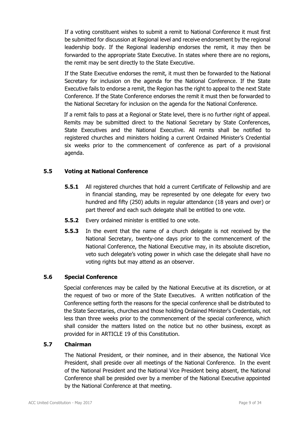If a voting constituent wishes to submit a remit to National Conference it must first be submitted for discussion at Regional level and receive endorsement by the regional leadership body. If the Regional leadership endorses the remit, it may then be forwarded to the appropriate State Executive. In states where there are no regions, the remit may be sent directly to the State Executive.

If the State Executive endorses the remit, it must then be forwarded to the National Secretary for inclusion on the agenda for the National Conference. If the State Executive fails to endorse a remit, the Region has the right to appeal to the next State Conference. If the State Conference endorses the remit it must then be forwarded to the National Secretary for inclusion on the agenda for the National Conference.

If a remit fails to pass at a Regional or State level, there is no further right of appeal. Remits may be submitted direct to the National Secretary by State Conferences, State Executives and the National Executive. All remits shall be notified to registered churches and ministers holding a current Ordained Minister's Credential six weeks prior to the commencement of conference as part of a provisional agenda.

# **5.5 Voting at National Conference**

- **5.5.1** All registered churches that hold a current Certificate of Fellowship and are in financial standing, may be represented by one delegate for every two hundred and fifty (250) adults in regular attendance (18 years and over) or part thereof and each such delegate shall be entitled to one vote.
- **5.5.2** Every ordained minister is entitled to one vote.
- **5.5.3** In the event that the name of a church delegate is not received by the National Secretary, twenty-one days prior to the commencement of the National Conference, the National Executive may, in its absolute discretion, veto such delegate's voting power in which case the delegate shall have no voting rights but may attend as an observer.

### **5.6 Special Conference**

Special conferences may be called by the National Executive at its discretion, or at the request of two or more of the State Executives. A written notification of the Conference setting forth the reasons for the special conference shall be distributed to the State Secretaries, churches and those holding Ordained Minister's Credentials, not less than three weeks prior to the commencement of the special conference, which shall consider the matters listed on the notice but no other business, except as provided for in ARTICLE 19 of this Constitution.

### **5.7 Chairman**

The National President, or their nominee, and in their absence, the National Vice President, shall preside over all meetings of the National Conference. In the event of the National President and the National Vice President being absent, the National Conference shall be presided over by a member of the National Executive appointed by the National Conference at that meeting.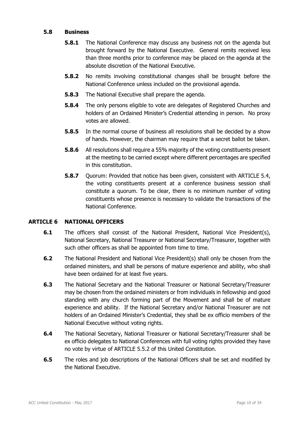### **5.8 Business**

- **5.8.1** The National Conference may discuss any business not on the agenda but brought forward by the National Executive. General remits received less than three months prior to conference may be placed on the agenda at the absolute discretion of the National Executive.
- **5.8.2** No remits involving constitutional changes shall be brought before the National Conference unless included on the provisional agenda.
- **5.8.3** The National Executive shall prepare the agenda.
- **5.8.4** The only persons eligible to vote are delegates of Registered Churches and holders of an Ordained Minister's Credential attending in person. No proxy votes are allowed.
- **5.8.5** In the normal course of business all resolutions shall be decided by a show of hands. However, the chairman may require that a secret ballot be taken.
- **5.8.6** All resolutions shall require a 55% majority of the voting constituents present at the meeting to be carried except where different percentages are specified in this constitution.
- **5.8.7** Ouorum: Provided that notice has been given, consistent with ARTICLE 5.4, the voting constituents present at a conference business session shall constitute a quorum. To be clear, there is no minimum number of voting constituents whose presence is necessary to validate the transactions of the National Conference.

# **ARTICLE 6 NATIONAL OFFICERS**

- **6.1** The officers shall consist of the National President, National Vice President(s), National Secretary, National Treasurer or National Secretary/Treasurer, together with such other officers as shall be appointed from time to time.
- **6.2** The National President and National Vice President(s) shall only be chosen from the ordained ministers, and shall be persons of mature experience and ability, who shall have been ordained for at least five years.
- **6.3** The National Secretary and the National Treasurer or National Secretary/Treasurer may be chosen from the ordained ministers or from individuals in fellowship and good standing with any church forming part of the Movement and shall be of mature experience and ability. If the National Secretary and/or National Treasurer are not holders of an Ordained Minister's Credential, they shall be ex officio members of the National Executive without voting rights.
- **6.4** The National Secretary, National Treasurer or National Secretary/Treasurer shall be ex officio delegates to National Conferences with full voting rights provided they have no vote by virtue of ARTICLE 5.5.2 of this United Constitution.
- **6.5** The roles and job descriptions of the National Officers shall be set and modified by the National Executive.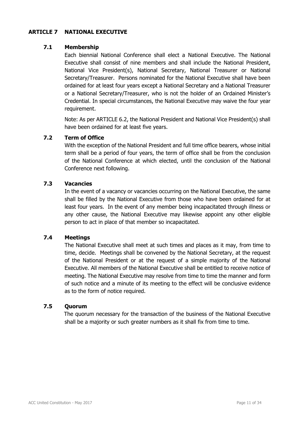### **ARTICLE 7 NATIONAL EXECUTIVE**

### **7.1 Membership**

 Each biennial National Conference shall elect a National Executive. The National Executive shall consist of nine members and shall include the National President, National Vice President(s), National Secretary, National Treasurer or National Secretary/Treasurer. Persons nominated for the National Executive shall have been ordained for at least four years except a National Secretary and a National Treasurer or a National Secretary/Treasurer, who is not the holder of an Ordained Minister's Credential. In special circumstances, the National Executive may waive the four year requirement.

 Note: As per ARTICLE 6.2, the National President and National Vice President(s) shall have been ordained for at least five years.

### **7.2 Term of Office**

 With the exception of the National President and full time office bearers, whose initial term shall be a period of four years, the term of office shall be from the conclusion of the National Conference at which elected, until the conclusion of the National Conference next following.

### **7.3 Vacancies**

 In the event of a vacancy or vacancies occurring on the National Executive, the same shall be filled by the National Executive from those who have been ordained for at least four years. In the event of any member being incapacitated through illness or any other cause, the National Executive may likewise appoint any other eligible person to act in place of that member so incapacitated.

### **7.4 Meetings**

 The National Executive shall meet at such times and places as it may, from time to time, decide. Meetings shall be convened by the National Secretary, at the request of the National President or at the request of a simple majority of the National Executive. All members of the National Executive shall be entitled to receive notice of meeting. The National Executive may resolve from time to time the manner and form of such notice and a minute of its meeting to the effect will be conclusive evidence as to the form of notice required.

### **7.5 Quorum**

The quorum necessary for the transaction of the business of the National Executive shall be a majority or such greater numbers as it shall fix from time to time.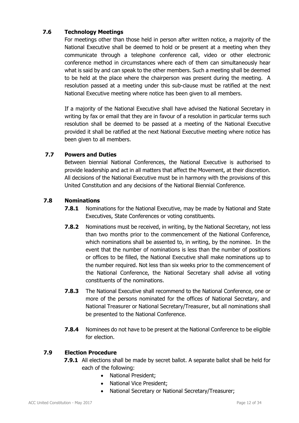# **7.6 Technology Meetings**

For meetings other than those held in person after written notice, a majority of the National Executive shall be deemed to hold or be present at a meeting when they communicate through a telephone conference call, video or other electronic conference method in circumstances where each of them can simultaneously hear what is said by and can speak to the other members. Such a meeting shall be deemed to be held at the place where the chairperson was present during the meeting. A resolution passed at a meeting under this sub-clause must be ratified at the next National Executive meeting where notice has been given to all members.

 If a majority of the National Executive shall have advised the National Secretary in writing by fax or email that they are in favour of a resolution in particular terms such resolution shall be deemed to be passed at a meeting of the National Executive provided it shall be ratified at the next National Executive meeting where notice has been given to all members.

# **7.7 Powers and Duties**

 Between biennial National Conferences, the National Executive is authorised to provide leadership and act in all matters that affect the Movement, at their discretion. All decisions of the National Executive must be in harmony with the provisions of this United Constitution and any decisions of the National Biennial Conference.

# **7.8 Nominations**

- **7.8.1** Nominations for the National Executive, may be made by National and State Executives, State Conferences or voting constituents.
- **7.8.2** Nominations must be received, in writing, by the National Secretary, not less than two months prior to the commencement of the National Conference, which nominations shall be assented to, in writing, by the nominee. In the event that the number of nominations is less than the number of positions or offices to be filled, the National Executive shall make nominations up to the number required. Not less than six weeks prior to the commencement of the National Conference, the National Secretary shall advise all voting constituents of the nominations.
- **7.8.3** The National Executive shall recommend to the National Conference, one or more of the persons nominated for the offices of National Secretary, and National Treasurer or National Secretary/Treasurer, but all nominations shall be presented to the National Conference.
- **7.8.4** Nominees do not have to be present at the National Conference to be eligible for election.

# **7.9 Election Procedure**

- **7.9.1** All elections shall be made by secret ballot. A separate ballot shall be held for each of the following:
	- National President;
	- National Vice President:
	- National Secretary or National Secretary/Treasurer;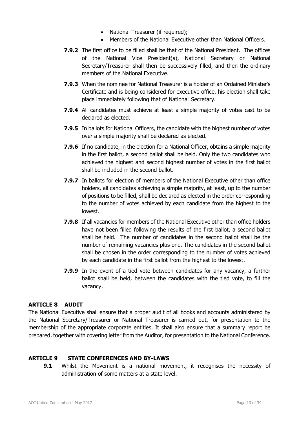- National Treasurer (if required):
- Members of the National Executive other than National Officers.
- **7.9.2** The first office to be filled shall be that of the National President. The offices of the National Vice President(s), National Secretary or National Secretary/Treasurer shall then be successively filled, and then the ordinary members of the National Executive.
- **7.9.3** When the nominee for National Treasurer is a holder of an Ordained Minister's Certificate and is being considered for executive office, his election shall take place immediately following that of National Secretary.
- **7.9.4** All candidates must achieve at least a simple majority of votes cast to be declared as elected.
- **7.9.5** In ballots for National Officers, the candidate with the highest number of votes over a simple majority shall be declared as elected.
- **7.9.6** If no candidate, in the election for a National Officer, obtains a simple majority in the first ballot, a second ballot shall be held. Only the two candidates who achieved the highest and second highest number of votes in the first ballot shall be included in the second ballot.
- **7.9.7** In ballots for election of members of the National Executive other than office holders, all candidates achieving a simple majority, at least, up to the number of positions to be filled, shall be declared as elected in the order corresponding to the number of votes achieved by each candidate from the highest to the lowest.
- **7.9.8** If all vacancies for members of the National Executive other than office holders have not been filled following the results of the first ballot, a second ballot shall be held. The number of candidates in the second ballot shall be the number of remaining vacancies plus one. The candidates in the second ballot shall be chosen in the order corresponding to the number of votes achieved by each candidate in the first ballot from the highest to the lowest.
- **7.9.9** In the event of a tied vote between candidates for any vacancy, a further ballot shall be held, between the candidates with the tied vote, to fill the vacancy.

### **ARTICLE 8 AUDIT**

The National Executive shall ensure that a proper audit of all books and accounts administered by the National Secretary/Treasurer or National Treasurer is carried out, for presentation to the membership of the appropriate corporate entities. It shall also ensure that a summary report be prepared, together with covering letter from the Auditor, for presentation to the National Conference.

### **ARTICLE 9 STATE CONFERENCES AND BY-LAWS**

**9.1** Whilst the Movement is a national movement, it recognises the necessity of administration of some matters at a state level.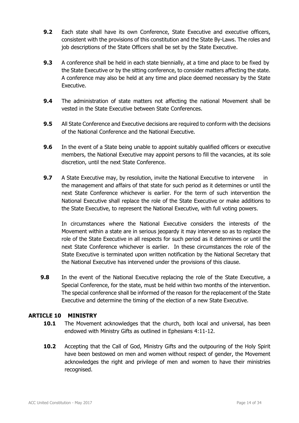- **9.2** Each state shall have its own Conference, State Executive and executive officers, consistent with the provisions of this constitution and the State By-Laws. The roles and job descriptions of the State Officers shall be set by the State Executive.
- **9.3** A conference shall be held in each state biennially, at a time and place to be fixed by the State Executive or by the sitting conference, to consider matters affecting the state. A conference may also be held at any time and place deemed necessary by the State Executive.
- **9.4** The administration of state matters not affecting the national Movement shall be vested in the State Executive between State Conferences.
- **9.5** All State Conference and Executive decisions are required to conform with the decisions of the National Conference and the National Executive.
- **9.6** In the event of a State being unable to appoint suitably qualified officers or executive members, the National Executive may appoint persons to fill the vacancies, at its sole discretion, until the next State Conference.
- **9.7** A State Executive may, by resolution, invite the National Executive to intervene in the management and affairs of that state for such period as it determines or until the next State Conference whichever is earlier. For the term of such intervention the National Executive shall replace the role of the State Executive or make additions to the State Executive, to represent the National Executive, with full voting powers.

 In circumstances where the National Executive considers the interests of the Movement within a state are in serious jeopardy it may intervene so as to replace the role of the State Executive in all respects for such period as it determines or until the next State Conference whichever is earlier. In these circumstances the role of the State Executive is terminated upon written notification by the National Secretary that the National Executive has intervened under the provisions of this clause.

**9.8** In the event of the National Executive replacing the role of the State Executive, a Special Conference, for the state, must be held within two months of the intervention. The special conference shall be informed of the reason for the replacement of the State Executive and determine the timing of the election of a new State Executive.

# **ARTICLE 10 MINISTRY**

- **10.1** The Movement acknowledges that the church, both local and universal, has been endowed with Ministry Gifts as outlined in Ephesians 4:11-12.
- **10.2** Accepting that the Call of God, Ministry Gifts and the outpouring of the Holy Spirit have been bestowed on men and women without respect of gender, the Movement acknowledges the right and privilege of men and women to have their ministries recognised.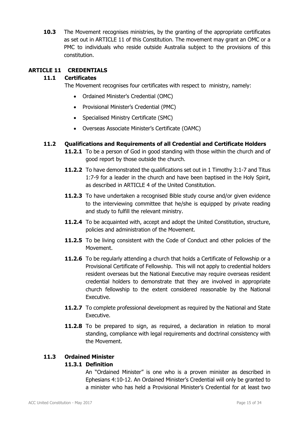**10.3** The Movement recognises ministries, by the granting of the appropriate certificates as set out in ARTICLE 11 of this Constitution. The movement may grant an OMC or a PMC to individuals who reside outside Australia subject to the provisions of this constitution.

# **ARTICLE 11 CREDENTIALS**

### **11.1 Certificates**

The Movement recognises four certificates with respect to ministry, namely:

- Ordained Minister's Credential (OMC)
- Provisional Minister's Credential (PMC)
- Specialised Ministry Certificate (SMC)
- Overseas Associate Minister's Certificate (OAMC)

# **11.2 Qualifications and Requirements of all Credential and Certificate Holders**

- **11.2.1** To be a person of God in good standing with those within the church and of good report by those outside the church.
- **11.2.2** To have demonstrated the qualifications set out in 1 Timothy 3:1-7 and Titus 1:7-9 for a leader in the church and have been baptised in the Holy Spirit, as described in ARTICLE 4 of the United Constitution.
- **11.2.3** To have undertaken a recognised Bible study course and/or given evidence to the interviewing committee that he/she is equipped by private reading and study to fulfill the relevant ministry.
- **11.2.4** To be acquainted with, accept and adopt the United Constitution, structure, policies and administration of the Movement.
- **11.2.5** To be living consistent with the Code of Conduct and other policies of the Movement.
- **11.2.6** To be regularly attending a church that holds a Certificate of Fellowship or a Provisional Certificate of Fellowship. This will not apply to credential holders resident overseas but the National Executive may require overseas resident credential holders to demonstrate that they are involved in appropriate church fellowship to the extent considered reasonable by the National Executive.
- **11.2.7** To complete professional development as required by the National and State Executive.
- **11.2.8** To be prepared to sign, as required, a declaration in relation to moral standing, compliance with legal requirements and doctrinal consistency with the Movement.

# **11.3 Ordained Minister**

# **11.3.1 Definition**

 An "Ordained Minister" is one who is a proven minister as described in Ephesians 4:10-12. An Ordained Minister's Credential will only be granted to a minister who has held a Provisional Minister's Credential for at least two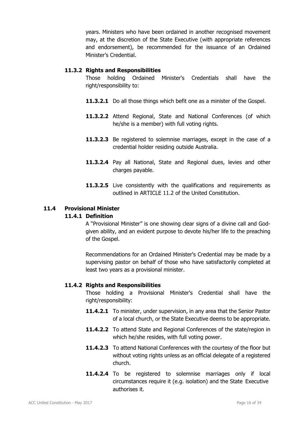years. Ministers who have been ordained in another recognised movement may, at the discretion of the State Executive (with appropriate references and endorsement), be recommended for the issuance of an Ordained Minister's Credential.

### **11.3.2 Rights and Responsibilities**

Those holding Ordained Minister's Credentials shall have the right/responsibility to:

- **11.3.2.1** Do all those things which befit one as a minister of the Gospel.
- **11.3.2.2** Attend Regional, State and National Conferences (of which he/she is a member) with full voting rights.
- **11.3.2.3** Be registered to solemnise marriages, except in the case of a credential holder residing outside Australia.
- **11.3.2.4** Pay all National, State and Regional dues, levies and other charges payable.
- **11.3.2.5** Live consistently with the qualifications and requirements as outlined in ARTICLE 11.2 of the United Constitution.

# **11.4 Provisional Minister**

### **11.4.1 Definition**

 A "Provisional Minister" is one showing clear signs of a divine call and Godgiven ability, and an evident purpose to devote his/her life to the preaching of the Gospel.

 Recommendations for an Ordained Minister's Credential may be made by a supervising pastor on behalf of those who have satisfactorily completed at least two years as a provisional minister.

### **11.4.2 Rights and Responsibilities**

 Those holding a Provisional Minister's Credential shall have the right/responsibility:

- **11.4.2.1** To minister, under supervision, in any area that the Senior Pastor of a local church, or the State Executive deems to be appropriate.
- **11.4.2.2** To attend State and Regional Conferences of the state/region in which he/she resides, with full voting power.
- **11.4.2.3** To attend National Conferences with the courtesy of the floor but without voting rights unless as an official delegate of a registered church.
- **11.4.2.4** To be registered to solemnise marriages only if local circumstances require it (e.g. isolation) and the State Executive authorises it.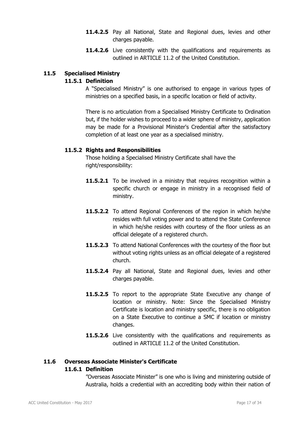- **11.4.2.5** Pay all National, State and Regional dues, levies and other charges payable.
- **11.4.2.6** Live consistently with the qualifications and requirements as outlined in ARTICLE 11.2 of the United Constitution.

# **11.5 Specialised Ministry**

### **11.5.1 Definition**

 A "Specialised Ministry" is one authorised to engage in various types of ministries on a specified basis, in a specific location or field of activity.

 There is no articulation from a Specialised Ministry Certificate to Ordination but, if the holder wishes to proceed to a wider sphere of ministry, application may be made for a Provisional Minister's Credential after the satisfactory completion of at least one year as a specialised ministry.

### **11.5.2 Rights and Responsibilities**

Those holding a Specialised Ministry Certificate shall have the right/responsibility:

- **11.5.2.1** To be involved in a ministry that requires recognition within a specific church or engage in ministry in a recognised field of ministry.
- **11.5.2.2** To attend Regional Conferences of the region in which he/she resides with full voting power and to attend the State Conference in which he/she resides with courtesy of the floor unless as an official delegate of a registered church.
- **11.5.2.3** To attend National Conferences with the courtesy of the floor but without voting rights unless as an official delegate of a registered church.
- 11.5.2.4 Pay all National, State and Regional dues, levies and other charges payable.
- 11.5.2.5 To report to the appropriate State Executive any change of location or ministry. Note: Since the Specialised Ministry Certificate is location and ministry specific, there is no obligation on a State Executive to continue a SMC if location or ministry changes.
- **11.5.2.6** Live consistently with the qualifications and requirements as outlined in ARTICLE 11.2 of the United Constitution.

# **11.6 Overseas Associate Minister's Certificate 11.6.1 Definition**

 "Overseas Associate Minister" is one who is living and ministering outside of Australia, holds a credential with an accrediting body within their nation of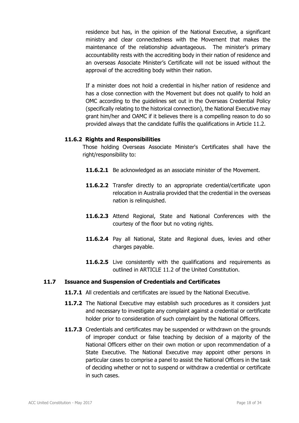residence but has, in the opinion of the National Executive, a significant ministry and clear connectedness with the Movement that makes the maintenance of the relationship advantageous. The minister's primary accountability rests with the accrediting body in their nation of residence and an overseas Associate Minister's Certificate will not be issued without the approval of the accrediting body within their nation.

 If a minister does not hold a credential in his/her nation of residence and has a close connection with the Movement but does not qualify to hold an OMC according to the guidelines set out in the Overseas Credential Policy (specifically relating to the historical connection), the National Executive may grant him/her and OAMC if it believes there is a compelling reason to do so provided always that the candidate fulfils the qualifications in Article 11.2.

### **11.6.2 Rights and Responsibilities**

Those holding Overseas Associate Minister's Certificates shall have the right/responsibility to:

- **11.6.2.1** Be acknowledged as an associate minister of the Movement.
- **11.6.2.2** Transfer directly to an appropriate credential/certificate upon relocation in Australia provided that the credential in the overseas nation is relinquished.
- **11.6.2.3** Attend Regional, State and National Conferences with the courtesy of the floor but no voting rights.
- **11.6.2.4** Pay all National, State and Regional dues, levies and other charges payable.
- **11.6.2.5** Live consistently with the qualifications and requirements as outlined in ARTICLE 11.2 of the United Constitution.

### **11.7 Issuance and Suspension of Credentials and Certificates**

- **11.7.1** All credentials and certificates are issued by the National Executive.
- **11.7.2** The National Executive may establish such procedures as it considers just and necessary to investigate any complaint against a credential or certificate holder prior to consideration of such complaint by the National Officers.
- **11.7.3** Credentials and certificates may be suspended or withdrawn on the grounds of improper conduct or false teaching by decision of a majority of the National Officers either on their own motion or upon recommendation of a State Executive. The National Executive may appoint other persons in particular cases to comprise a panel to assist the National Officers in the task of deciding whether or not to suspend or withdraw a credential or certificate in such cases.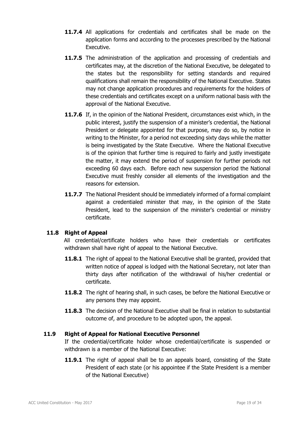- **11.7.4** All applications for credentials and certificates shall be made on the application forms and according to the processes prescribed by the National Executive.
- **11.7.5** The administration of the application and processing of credentials and certificates may, at the discretion of the National Executive, be delegated to the states but the responsibility for setting standards and required qualifications shall remain the responsibility of the National Executive. States may not change application procedures and requirements for the holders of these credentials and certificates except on a uniform national basis with the approval of the National Executive.
- **11.7.6** If, in the opinion of the National President, circumstances exist which, in the public interest, justify the suspension of a minister's credential, the National President or delegate appointed for that purpose, may do so, by notice in writing to the Minister, for a period not exceeding sixty days while the matter is being investigated by the State Executive. Where the National Executive is of the opinion that further time is required to fairly and justly investigate the matter, it may extend the period of suspension for further periods not exceeding 60 days each. Before each new suspension period the National Executive must freshly consider all elements of the investigation and the reasons for extension.
- **11.7.7** The National President should be immediately informed of a formal complaint against a credentialed minister that may, in the opinion of the State President, lead to the suspension of the minister's credential or ministry certificate.

# **11.8 Right of Appeal**

All credential/certificate holders who have their credentials or certificates withdrawn shall have right of appeal to the National Executive.

- **11.8.1** The right of appeal to the National Executive shall be granted, provided that written notice of appeal is lodged with the National Secretary, not later than thirty days after notification of the withdrawal of his/her credential or certificate.
- **11.8.2** The right of hearing shall, in such cases, be before the National Executive or any persons they may appoint.
- **11.8.3** The decision of the National Executive shall be final in relation to substantial outcome of, and procedure to be adopted upon, the appeal.

### **11.9 Right of Appeal for National Executive Personnel**

 If the credential/certificate holder whose credential/certificate is suspended or withdrawn is a member of the National Executive:

**11.9.1** The right of appeal shall be to an appeals board, consisting of the State President of each state (or his appointee if the State President is a member of the National Executive)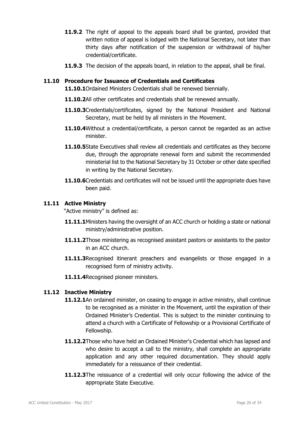- **11.9.2** The right of appeal to the appeals board shall be granted, provided that written notice of appeal is lodged with the National Secretary, not later than thirty days after notification of the suspension or withdrawal of his/her credential/certificate.
- **11.9.3** The decision of the appeals board, in relation to the appeal, shall be final.

### **11.10 Procedure for Issuance of Credentials and Certificates**

**11.10.1**Ordained Ministers Credentials shall be renewed biennially.

- **11.10.2**All other certificates and credentials shall be renewed annually.
- **11.10.3**Credentials/certificates, signed by the National President and National Secretary, must be held by all ministers in the Movement.
- **11.10.4**Without a credential/certificate, a person cannot be regarded as an active minister.
- **11.10.5**State Executives shall review all credentials and certificates as they become due, through the appropriate renewal form and submit the recommended ministerial list to the National Secretary by 31 October or other date specified in writing by the National Secretary.
- **11.10.6**Credentials and certificates will not be issued until the appropriate dues have been paid.

### **11.11 Active Ministry**

"Active ministry" is defined as:

- **11.11.1**Ministers having the oversight of an ACC church or holding a state or national ministry/administrative position.
- **11.11.2**Those ministering as recognised assistant pastors or assistants to the pastor in an ACC church.
- **11.11.3**Recognised itinerant preachers and evangelists or those engaged in a recognised form of ministry activity.
- **11.11.4**Recognised pioneer ministers.

# **11.12 Inactive Ministry**

- **11.12.1**An ordained minister, on ceasing to engage in active ministry, shall continue to be recognised as a minister in the Movement, until the expiration of their Ordained Minister's Credential. This is subject to the minister continuing to attend a church with a Certificate of Fellowship or a Provisional Certificate of Fellowship.
- **11.12.2**Those who have held an Ordained Minister's Credential which has lapsed and who desire to accept a call to the ministry, shall complete an appropriate application and any other required documentation. They should apply immediately for a reissuance of their credential.
- **11.12.3**The reissuance of a credential will only occur following the advice of the appropriate State Executive.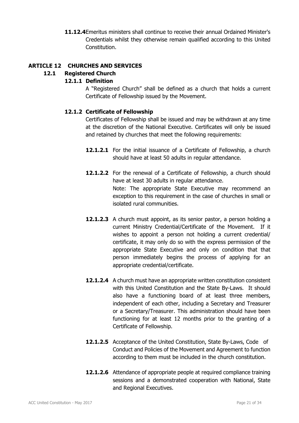**11.12.4** Emeritus ministers shall continue to receive their annual Ordained Minister's Credentials whilst they otherwise remain qualified according to this United Constitution.

### **ARTICLE 12 CHURCHES AND SERVICES**

# **12.1 Registered Church**

### **12.1.1 Definition**

 A "Registered Church" shall be defined as a church that holds a current Certificate of Fellowship issued by the Movement.

### **12.1.2 Certificate of Fellowship**

 Certificates of Fellowship shall be issued and may be withdrawn at any time at the discretion of the National Executive. Certificates will only be issued and retained by churches that meet the following requirements:

- **12.1.2.1** For the initial issuance of a Certificate of Fellowship, a church should have at least 50 adults in regular attendance.
- **12.1.2.2** For the renewal of a Certificate of Fellowship, a church should have at least 30 adults in regular attendance. Note: The appropriate State Executive may recommend an exception to this requirement in the case of churches in small or isolated rural communities.
- **12.1.2.3** A church must appoint, as its senior pastor, a person holding a current Ministry Credential/Certificate of the Movement. If it wishes to appoint a person not holding a current credential/ certificate, it may only do so with the express permission of the appropriate State Executive and only on condition that that person immediately begins the process of applying for an appropriate credential/certificate.
- **12.1.2.4** A church must have an appropriate written constitution consistent with this United Constitution and the State By-Laws. It should also have a functioning board of at least three members, independent of each other, including a Secretary and Treasurer or a Secretary/Treasurer. This administration should have been functioning for at least 12 months prior to the granting of a Certificate of Fellowship.
- **12.1.2.5** Acceptance of the United Constitution, State By-Laws, Code of Conduct and Policies of the Movement and Agreement to function according to them must be included in the church constitution.
- **12.1.2.6** Attendance of appropriate people at required compliance training sessions and a demonstrated cooperation with National, State and Regional Executives.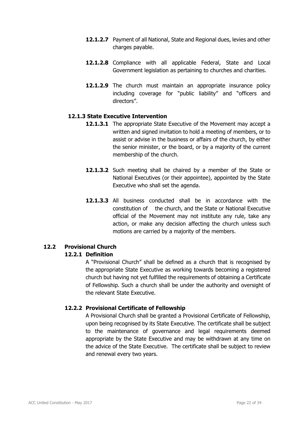- **12.1.2.7** Payment of all National, State and Regional dues, levies and other charges payable.
- **12.1.2.8** Compliance with all applicable Federal, State and Local Government legislation as pertaining to churches and charities.
- **12.1.2.9** The church must maintain an appropriate insurance policy including coverage for "public liability" and "officers and directors".

### **12.1.3 State Executive Intervention**

- **12.1.3.1** The appropriate State Executive of the Movement may accept a written and signed invitation to hold a meeting of members, or to assist or advise in the business or affairs of the church, by either the senior minister, or the board, or by a majority of the current membership of the church.
- **12.1.3.2** Such meeting shall be chaired by a member of the State or National Executives (or their appointee), appointed by the State Executive who shall set the agenda.
- **12.1.3.3** All business conducted shall be in accordance with the constitution of the church, and the State or National Executive official of the Movement may not institute any rule, take any action, or make any decision affecting the church unless such motions are carried by a majority of the members.

# **12.2 Provisional Church**

# **12.2.1 Definition**

 A "Provisional Church" shall be defined as a church that is recognised by the appropriate State Executive as working towards becoming a registered church but having not yet fulfilled the requirements of obtaining a Certificate of Fellowship. Such a church shall be under the authority and oversight of the relevant State Executive.

# **12.2.2 Provisional Certificate of Fellowship**

 A Provisional Church shall be granted a Provisional Certificate of Fellowship, upon being recognised by its State Executive. The certificate shall be subject to the maintenance of governance and legal requirements deemed appropriate by the State Executive and may be withdrawn at any time on the advice of the State Executive. The certificate shall be subject to review and renewal every two years.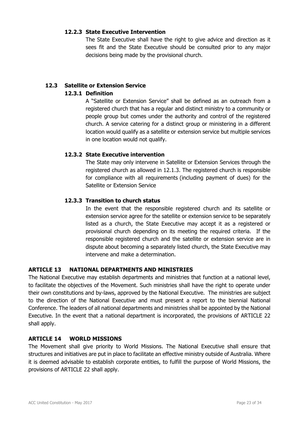### **12.2.3 State Executive Intervention**

 The State Executive shall have the right to give advice and direction as it sees fit and the State Executive should be consulted prior to any major decisions being made by the provisional church.

### **12.3 Satellite or Extension Service**

### **12.3.1 Definition**

 A "Satellite or Extension Service" shall be defined as an outreach from a registered church that has a regular and distinct ministry to a community or people group but comes under the authority and control of the registered church. A service catering for a distinct group or ministering in a different location would qualify as a satellite or extension service but multiple services in one location would not qualify.

### **12.3.2 State Executive intervention**

 The State may only intervene in Satellite or Extension Services through the registered church as allowed in 12.1.3. The registered church is responsible for compliance with all requirements (including payment of dues) for the Satellite or Extension Service

### **12.3.3 Transition to church status**

In the event that the responsible registered church and its satellite or extension service agree for the satellite or extension service to be separately listed as a church, the State Executive may accept it as a registered or provisional church depending on its meeting the required criteria. If the responsible registered church and the satellite or extension service are in dispute about becoming a separately listed church, the State Executive may intervene and make a determination.

# **ARTICLE 13 NATIONAL DEPARTMENTS AND MINISTRIES**

The National Executive may establish departments and ministries that function at a national level, to facilitate the objectives of the Movement. Such ministries shall have the right to operate under their own constitutions and by-laws, approved by the National Executive. The ministries are subject to the direction of the National Executive and must present a report to the biennial National Conference. The leaders of all national departments and ministries shall be appointed by the National Executive. In the event that a national department is incorporated, the provisions of ARTICLE 22 shall apply.

# **ARTICLE 14 WORLD MISSIONS**

The Movement shall give priority to World Missions. The National Executive shall ensure that structures and initiatives are put in place to facilitate an effective ministry outside of Australia. Where it is deemed advisable to establish corporate entities, to fulfill the purpose of World Missions, the provisions of ARTICLE 22 shall apply.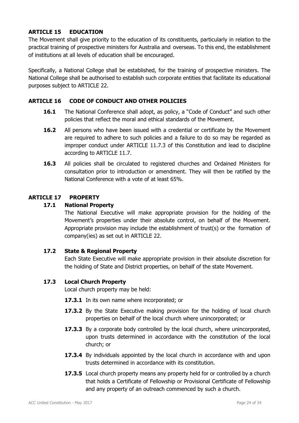# **ARTICLE 15 EDUCATION**

The Movement shall give priority to the education of its constituents, particularly in relation to the practical training of prospective ministers for Australia and overseas. To this end, the establishment of institutions at all levels of education shall be encouraged.

Specifically, a National College shall be established, for the training of prospective ministers. The National College shall be authorised to establish such corporate entities that facilitate its educational purposes subject to ARTICLE 22.

### **ARTICLE 16 CODE OF CONDUCT AND OTHER POLICIES**

- **16.1** The National Conference shall adopt, as policy, a "Code of Conduct" and such other policies that reflect the moral and ethical standards of the Movement.
- **16.2** All persons who have been issued with a credential or certificate by the Movement are required to adhere to such policies and a failure to do so may be regarded as improper conduct under ARTICLE 11.7.3 of this Constitution and lead to discipline according to ARTICLE 11.7.
- **16.3** All policies shall be circulated to registered churches and Ordained Ministers for consultation prior to introduction or amendment. They will then be ratified by the National Conference with a vote of at least 65%.

# **ARTICLE 17 PROPERTY**

### **17.1 National Property**

 The National Executive will make appropriate provision for the holding of the Movement's properties under their absolute control, on behalf of the Movement. Appropriate provision may include the establishment of trust(s) or the formation of company(ies) as set out in ARTICLE 22.

### **17.2 State & Regional Property**

 Each State Executive will make appropriate provision in their absolute discretion for the holding of State and District properties, on behalf of the state Movement.

### **17.3 Local Church Property**

Local church property may be held:

- 17.3.1 In its own name where incorporated; or
- **17.3.2** By the State Executive making provision for the holding of local church properties on behalf of the local church where unincorporated; or
- **17.3.3** By a corporate body controlled by the local church, where unincorporated, upon trusts determined in accordance with the constitution of the local church; or
- **17.3.4** By individuals appointed by the local church in accordance with and upon trusts determined in accordance with its constitution.
- **17.3.5** Local church property means any property held for or controlled by a church that holds a Certificate of Fellowship or Provisional Certificate of Fellowship and any property of an outreach commenced by such a church.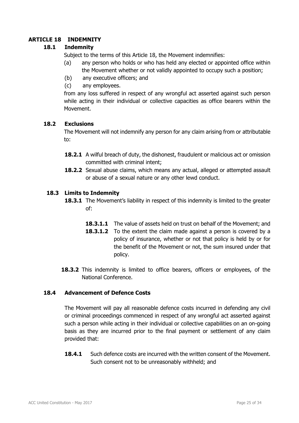# **ARTICLE 18 INDEMNITY**

# **18.1 Indemnity**

Subject to the terms of this Article 18, the Movement indemnifies:

- (a) any person who holds or who has held any elected or appointed office within the Movement whether or not validly appointed to occupy such a position;
- (b) any executive officers; and
- (c) any employees.

from any loss suffered in respect of any wrongful act asserted against such person while acting in their individual or collective capacities as office bearers within the Movement.

### **18.2 Exclusions**

The Movement will not indemnify any person for any claim arising from or attributable to:

- **18.2.1** A wilful breach of duty, the dishonest, fraudulent or malicious act or omission committed with criminal intent;
- **18.2.2** Sexual abuse claims, which means any actual, alleged or attempted assault or abuse of a sexual nature or any other lewd conduct.

### **18.3 Limits to Indemnity**

- **18.3.1** The Movement's liability in respect of this indemnity is limited to the greater of:
	- **18.3.1.1** The value of assets held on trust on behalf of the Movement; and
	- **18.3.1.2** To the extent the claim made against a person is covered by a policy of insurance, whether or not that policy is held by or for the benefit of the Movement or not, the sum insured under that policy.
- **18.3.2** This indemnity is limited to office bearers, officers or employees, of the National Conference.

### **18.4 Advancement of Defence Costs**

 The Movement will pay all reasonable defence costs incurred in defending any civil or criminal proceedings commenced in respect of any wrongful act asserted against such a person while acting in their individual or collective capabilities on an on-going basis as they are incurred prior to the final payment or settlement of any claim provided that:

**18.4.1** Such defence costs are incurred with the written consent of the Movement. Such consent not to be unreasonably withheld; and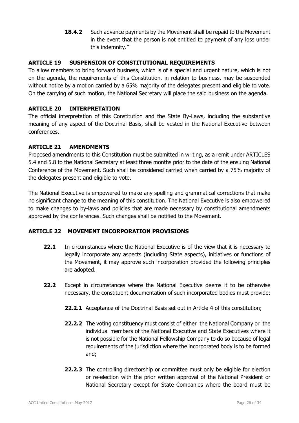**18.4.2** Such advance payments by the Movement shall be repaid to the Movement in the event that the person is not entitled to payment of any loss under this indemnity."

# **ARTICLE 19 SUSPENSION OF CONSTITUTIONAL REQUIREMENTS**

To allow members to bring forward business, which is of a special and urgent nature, which is not on the agenda, the requirements of this Constitution, in relation to business, may be suspended without notice by a motion carried by a 65% majority of the delegates present and eligible to vote. On the carrying of such motion, the National Secretary will place the said business on the agenda.

# **ARTICLE 20 INTERPRETATION**

The official interpretation of this Constitution and the State By-Laws, including the substantive meaning of any aspect of the Doctrinal Basis, shall be vested in the National Executive between conferences.

# **ARTICLE 21 AMENDMENTS**

Proposed amendments to this Constitution must be submitted in writing, as a remit under ARTICLES 5.4 and 5.8 to the National Secretary at least three months prior to the date of the ensuing National Conference of the Movement. Such shall be considered carried when carried by a 75% majority of the delegates present and eligible to vote.

The National Executive is empowered to make any spelling and grammatical corrections that make no significant change to the meaning of this constitution. The National Executive is also empowered to make changes to by-laws and policies that are made necessary by constitutional amendments approved by the conferences. Such changes shall be notified to the Movement.

# **ARTICLE 22 MOVEMENT INCORPORATION PROVISIONS**

- **22.1** In circumstances where the National Executive is of the view that it is necessary to legally incorporate any aspects (including State aspects), initiatives or functions of the Movement, it may approve such incorporation provided the following principles are adopted.
- **22.2** Except in circumstances where the National Executive deems it to be otherwise necessary, the constituent documentation of such incorporated bodies must provide:
	- **22.2.1** Acceptance of the Doctrinal Basis set out in Article 4 of this constitution;
	- **22.2.2** The voting constituency must consist of either the National Company or the individual members of the National Executive and State Executives where it is not possible for the National Fellowship Company to do so because of legal requirements of the jurisdiction where the incorporated body is to be formed and;
	- **22.2.3** The controlling directorship or committee must only be eligible for election or re-election with the prior written approval of the National President or National Secretary except for State Companies where the board must be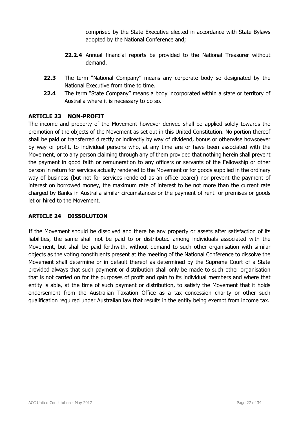comprised by the State Executive elected in accordance with State Bylaws adopted by the National Conference and;

- **22.2.4** Annual financial reports be provided to the National Treasurer without demand.
- **22.3** The term "National Company" means any corporate body so designated by the National Executive from time to time.
- **22.4** The term "State Company" means a body incorporated within a state or territory of Australia where it is necessary to do so.

# **ARTICLE 23 NON-PROFIT**

The income and property of the Movement however derived shall be applied solely towards the promotion of the objects of the Movement as set out in this United Constitution. No portion thereof shall be paid or transferred directly or indirectly by way of dividend, bonus or otherwise howsoever by way of profit, to individual persons who, at any time are or have been associated with the Movement, or to any person claiming through any of them provided that nothing herein shall prevent the payment in good faith or remuneration to any officers or servants of the Fellowship or other person in return for services actually rendered to the Movement or for goods supplied in the ordinary way of business (but not for services rendered as an office bearer) nor prevent the payment of interest on borrowed money, the maximum rate of interest to be not more than the current rate charged by Banks in Australia similar circumstances or the payment of rent for premises or goods let or hired to the Movement.

# **ARTICLE 24 DISSOLUTION**

If the Movement should be dissolved and there be any property or assets after satisfaction of its liabilities, the same shall not be paid to or distributed among individuals associated with the Movement, but shall be paid forthwith, without demand to such other organisation with similar objects as the voting constituents present at the meeting of the National Conference to dissolve the Movement shall determine or in default thereof as determined by the Supreme Court of a State provided always that such payment or distribution shall only be made to such other organisation that is not carried on for the purposes of profit and gain to its individual members and where that entity is able, at the time of such payment or distribution, to satisfy the Movement that it holds endorsement from the Australian Taxation Office as a tax concession charity or other such qualification required under Australian law that results in the entity being exempt from income tax.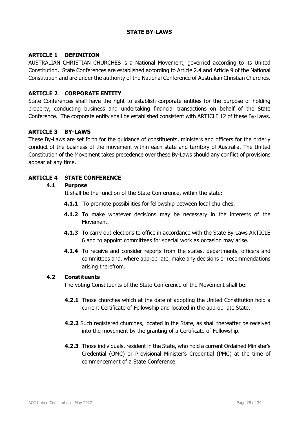### **STATE BY-LAWS**

### **ARTICLE 1 DEFINITION**

AUSTRALIAN CHRISTIAN CHURCHES is a National Movement, governed according to its United Constitution. State Conferences are established according to Article 2.4 and Article 9 of the National Constitution and are under the authority of the National Conference of Australian Christian Churches.

### **ARTICLE 2 CORPORATE ENTITY**

State Conferences shall have the right to establish corporate entities for the purpose of holding property, conducting business and undertaking financial transactions on behalf of the State Conference. The corporate entity shall be established consistent with ARTICLE 12 of these By-Laws.

#### **ARTICLE 3 BY-LAWS**

These By-Laws are set forth for the guidance of constituents, ministers and officers for the orderly conduct of the business of the movement within each state and territory of Australia. The United Constitution of the Movement takes precedence over these By-Laws should any conflict of provisions appear at any time.

#### **ARTICLE 4 STATE CONFERENCE**

#### **4.1 Purpose**

It shall be the function of the State Conference, within the state:

- **4.1.1** To promote possibilities for fellowship between local churches.
- **4.1.2** To make whatever decisions may be necessary in the interests of the Movement.
- **4.1.3** To carry out elections to office in accordance with the State By-Laws ARTICLE 6 and to appoint committees for special work as occasion may arise.
- **4.1.4** To receive and consider reports from the states, departments, officers and committees and, where appropriate, make any decisions or recommendations arising therefrom.

#### **4.2 Constituents**

The voting Constituents of the State Conference of the Movement shall be:

- **4.2.1** Those churches which at the date of adopting the United Constitution hold a current Certificate of Fellowship and located in the appropriate State.
- **4.2.2** Such registered churches, located in the State, as shall thereafter be received into the movement by the granting of a Certificate of Fellowship.
- **4.2.3** Those individuals, resident in the State, who hold a current Ordained Minister's Credential (OMC) or Provisional Minister's Credential (PMC) at the time of commencement of a State Conference.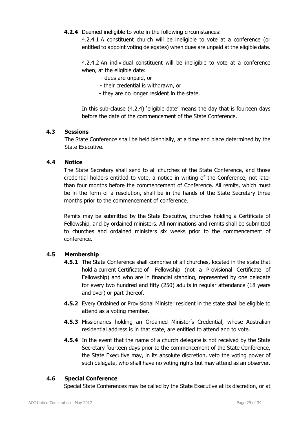**4.2.4** Deemed ineligible to vote in the following circumstances:

4.2.4.1 A constituent church will be ineligible to vote at a conference (or entitled to appoint voting delegates) when dues are unpaid at the eligible date.

4.2.4.2 An individual constituent will be ineligible to vote at a conference when, at the eligible date:

- dues are unpaid, or
- their credential is withdrawn, or
- they are no longer resident in the state.

In this sub-clause (4.2.4) 'eligible date' means the day that is fourteen days before the date of the commencement of the State Conference.

### **4.3 Sessions**

The State Conference shall be held biennially, at a time and place determined by the State Executive.

### **4.4 Notice**

The State Secretary shall send to all churches of the State Conference, and those credential holders entitled to vote, a notice in writing of the Conference, not later than four months before the commencement of Conference. All remits, which must be in the form of a resolution, shall be in the hands of the State Secretary three months prior to the commencement of conference.

Remits may be submitted by the State Executive, churches holding a Certificate of Fellowship, and by ordained ministers. All nominations and remits shall be submitted to churches and ordained ministers six weeks prior to the commencement of conference.

# **4.5 Membership**

- **4.5.1** The State Conference shall comprise of all churches, located in the state that hold a current Certificate of Fellowship (not a Provisional Certificate of Fellowship) and who are in financial standing, represented by one delegate for every two hundred and fifty (250) adults in regular attendance (18 years and over) or part thereof.
- **4.5.2** Every Ordained or Provisional Minister resident in the state shall be eligible to attend as a voting member.
- **4.5.3** Missionaries holding an Ordained Minister's Credential, whose Australian residential address is in that state, are entitled to attend and to vote.
- **4.5.4** In the event that the name of a church delegate is not received by the State Secretary fourteen days prior to the commencement of the State Conference, the State Executive may, in its absolute discretion, veto the voting power of such delegate, who shall have no voting rights but may attend as an observer.

# **4.6 Special Conference**

Special State Conferences may be called by the State Executive at its discretion, or at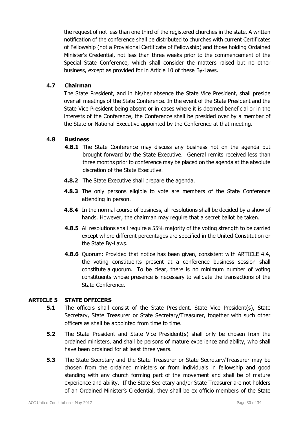the request of not less than one third of the registered churches in the state. A written notification of the conference shall be distributed to churches with current Certificates of Fellowship (not a Provisional Certificate of Fellowship) and those holding Ordained Minister's Credential, not less than three weeks prior to the commencement of the Special State Conference, which shall consider the matters raised but no other business, except as provided for in Article 10 of these By-Laws.

### **4.7 Chairman**

The State President, and in his/her absence the State Vice President, shall preside over all meetings of the State Conference. In the event of the State President and the State Vice President being absent or in cases where it is deemed beneficial or in the interests of the Conference, the Conference shall be presided over by a member of the State or National Executive appointed by the Conference at that meeting.

### **4.8 Business**

- **4.8.1** The State Conference may discuss any business not on the agenda but brought forward by the State Executive. General remits received less than three months prior to conference may be placed on the agenda at the absolute discretion of the State Executive.
- **4.8.2** The State Executive shall prepare the agenda.
- **4.8.3** The only persons eligible to vote are members of the State Conference attending in person.
- **4.8.4** In the normal course of business, all resolutions shall be decided by a show of hands. However, the chairman may require that a secret ballot be taken.
- **4.8.5** All resolutions shall require a 55% majority of the voting strength to be carried except where different percentages are specified in the United Constitution or the State By-Laws.
- **4.8.6** Quorum: Provided that notice has been given, consistent with ARTICLE 4.4, the voting constituents present at a conference business session shall constitute a quorum. To be clear, there is no minimum number of voting constituents whose presence is necessary to validate the transactions of the State Conference.

# **ARTICLE 5 STATE OFFICERS**

- **5.1** The officers shall consist of the State President, State Vice President(s), State Secretary, State Treasurer or State Secretary/Treasurer, together with such other officers as shall be appointed from time to time.
- **5.2** The State President and State Vice President(s) shall only be chosen from the ordained ministers, and shall be persons of mature experience and ability, who shall have been ordained for at least three years.
- **5.3** The State Secretary and the State Treasurer or State Secretary/Treasurer may be chosen from the ordained ministers or from individuals in fellowship and good standing with any church forming part of the movement and shall be of mature experience and ability. If the State Secretary and/or State Treasurer are not holders of an Ordained Minister's Credential, they shall be ex officio members of the State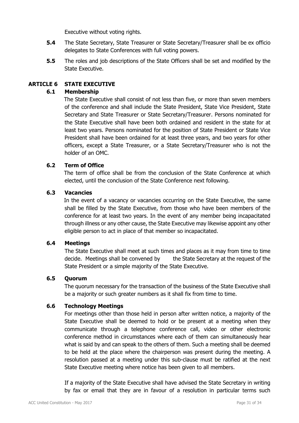Executive without voting rights.

- **5.4** The State Secretary, State Treasurer or State Secretary/Treasurer shall be ex officio delegates to State Conferences with full voting powers.
- **5.5** The roles and job descriptions of the State Officers shall be set and modified by the State Executive.

### **ARTICLE 6 STATE EXECUTIVE**

### **6.1 Membership**

The State Executive shall consist of not less than five, or more than seven members of the conference and shall include the State President, State Vice President, State Secretary and State Treasurer or State Secretary/Treasurer. Persons nominated for the State Executive shall have been both ordained and resident in the state for at least two years. Persons nominated for the position of State President or State Vice President shall have been ordained for at least three years, and two years for other officers, except a State Treasurer, or a State Secretary/Treasurer who is not the holder of an OMC.

### **6.2 Term of Office**

The term of office shall be from the conclusion of the State Conference at which elected, until the conclusion of the State Conference next following.

### **6.3 Vacancies**

In the event of a vacancy or vacancies occurring on the State Executive, the same shall be filled by the State Executive, from those who have been members of the conference for at least two years. In the event of any member being incapacitated through illness or any other cause, the State Executive may likewise appoint any other eligible person to act in place of that member so incapacitated.

### **6.4 Meetings**

 The State Executive shall meet at such times and places as it may from time to time decide. Meetings shall be convened by the State Secretary at the request of the State President or a simple majority of the State Executive.

### **6.5 Quorum**

The quorum necessary for the transaction of the business of the State Executive shall be a majority or such greater numbers as it shall fix from time to time.

### **6.6 Technology Meetings**

For meetings other than those held in person after written notice, a majority of the State Executive shall be deemed to hold or be present at a meeting when they communicate through a telephone conference call, video or other electronic conference method in circumstances where each of them can simultaneously hear what is said by and can speak to the others of them. Such a meeting shall be deemed to be held at the place where the chairperson was present during the meeting. A resolution passed at a meeting under this sub-clause must be ratified at the next State Executive meeting where notice has been given to all members.

 If a majority of the State Executive shall have advised the State Secretary in writing by fax or email that they are in favour of a resolution in particular terms such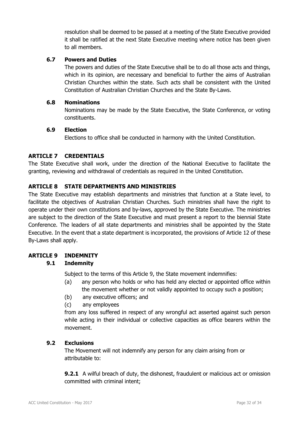resolution shall be deemed to be passed at a meeting of the State Executive provided it shall be ratified at the next State Executive meeting where notice has been given to all members.

# **6.7 Powers and Duties**

 The powers and duties of the State Executive shall be to do all those acts and things, which in its opinion, are necessary and beneficial to further the aims of Australian Christian Churches within the state. Such acts shall be consistent with the United Constitution of Australian Christian Churches and the State By-Laws.

### **6.8 Nominations**

 Nominations may be made by the State Executive, the State Conference, or voting constituents.

### **6.9 Election**

Elections to office shall be conducted in harmony with the United Constitution.

### **ARTICLE 7 CREDENTIALS**

The State Executive shall work, under the direction of the National Executive to facilitate the granting, reviewing and withdrawal of credentials as required in the United Constitution.

### **ARTICLE 8 STATE DEPARTMENTS AND MINISTRIES**

The State Executive may establish departments and ministries that function at a State level, to facilitate the objectives of Australian Christian Churches. Such ministries shall have the right to operate under their own constitutions and by-laws, approved by the State Executive. The ministries are subject to the direction of the State Executive and must present a report to the biennial State Conference. The leaders of all state departments and ministries shall be appointed by the State Executive. In the event that a state department is incorporated, the provisions of Article 12 of these By-Laws shall apply.

# **ARTICLE 9 INDEMNITY**

# **9.1 Indemnity**

Subject to the terms of this Article 9, the State movement indemnifies:

- (a) any person who holds or who has held any elected or appointed office within the movement whether or not validly appointed to occupy such a position;
- (b) any executive officers; and
- (c) any employees

from any loss suffered in respect of any wrongful act asserted against such person while acting in their individual or collective capacities as office bearers within the movement.

### **9.2 Exclusions**

 The Movement will not indemnify any person for any claim arising from or attributable to:

**9.2.1** A wilful breach of duty, the dishonest, fraudulent or malicious act or omission committed with criminal intent;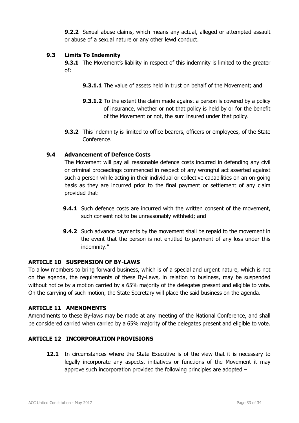**9.2.2** Sexual abuse claims, which means any actual, alleged or attempted assault or abuse of a sexual nature or any other lewd conduct.

# **9.3 Limits To Indemnity**

**9.3.1** The Movement's liability in respect of this indemnity is limited to the greater of:

- **9.3.1.1** The value of assets held in trust on behalf of the Movement; and
- **9.3.1.2** To the extent the claim made against a person is covered by a policy of insurance, whether or not that policy is held by or for the benefit of the Movement or not, the sum insured under that policy.
- **9.3.2** This indemnity is limited to office bearers, officers or employees, of the State Conference.

# **9.4 Advancement of Defence Costs**

 The Movement will pay all reasonable defence costs incurred in defending any civil or criminal proceedings commenced in respect of any wrongful act asserted against such a person while acting in their individual or collective capabilities on an on-going basis as they are incurred prior to the final payment or settlement of any claim provided that:

- **9.4.1** Such defence costs are incurred with the written consent of the movement, such consent not to be unreasonably withheld; and
- **9.4.2** Such advance payments by the movement shall be repaid to the movement in the event that the person is not entitled to payment of any loss under this indemnity."

### **ARTICLE 10 SUSPENSION OF BY-LAWS**

To allow members to bring forward business, which is of a special and urgent nature, which is not on the agenda, the requirements of these By-Laws, in relation to business, may be suspended without notice by a motion carried by a 65% majority of the delegates present and eligible to vote. On the carrying of such motion, the State Secretary will place the said business on the agenda.

### **ARTICLE 11 AMENDMENTS**

Amendments to these By-laws may be made at any meeting of the National Conference, and shall be considered carried when carried by a 65% majority of the delegates present and eligible to vote.

# **ARTICLE 12 INCORPORATION PROVISIONS**

**12.1** In circumstances where the State Executive is of the view that it is necessary to legally incorporate any aspects, initiatives or functions of the Movement it may approve such incorporation provided the following principles are adopted –